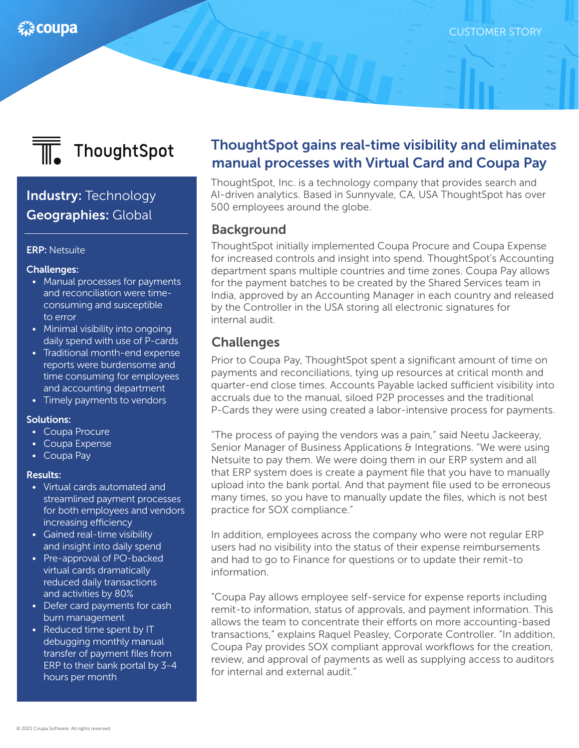

# Industry: Technology Geographies: Global

### ERP: Netsuite

### Challenges:

- Manual processes for payments and reconciliation were timeconsuming and susceptible to error
- Minimal visibility into ongoing daily spend with use of P-cards
- Traditional month-end expense reports were burdensome and time consuming for employees and accounting department
- Timely payments to vendors

### Solutions:

- Coupa Procure
- Coupa Expense
- Coupa Pay

#### Results:

- Virtual cards automated and streamlined payment processes for both employees and vendors increasing efficiency
- Gained real-time visibility and insight into daily spend
- Pre-approval of PO-backed virtual cards dramatically reduced daily transactions and activities by 80%
- Defer card payments for cash burn management
- Reduced time spent by IT debugging monthly manual transfer of payment files from ERP to their bank portal by 3-4 hours per month

# ThoughtSpot gains real-time visibility and eliminates manual processes with Virtual Card and Coupa Pay

ThoughtSpot, Inc. is a technology company that provides search and AI-driven analytics. Based in Sunnyvale, CA, USA ThoughtSpot has over 500 employees around the globe.

### **Background**

ThoughtSpot initially implemented Coupa Procure and Coupa Expense for increased controls and insight into spend. ThoughtSpot's Accounting department spans multiple countries and time zones. Coupa Pay allows for the payment batches to be created by the Shared Services team in India, approved by an Accounting Manager in each country and released by the Controller in the USA storing all electronic signatures for internal audit.

## **Challenges**

Prior to Coupa Pay, ThoughtSpot spent a significant amount of time on payments and reconciliations, tying up resources at critical month and quarter-end close times. Accounts Payable lacked sufficient visibility into accruals due to the manual, siloed P2P processes and the traditional P-Cards they were using created a labor-intensive process for payments.

"The process of paying the vendors was a pain," said Neetu Jackeeray, Senior Manager of Business Applications & Integrations. "We were using Netsuite to pay them. We were doing them in our ERP system and all that ERP system does is create a payment file that you have to manually upload into the bank portal. And that payment file used to be erroneous many times, so you have to manually update the files, which is not best practice for SOX compliance."

In addition, employees across the company who were not regular ERP users had no visibility into the status of their expense reimbursements and had to go to Finance for questions or to update their remit-to information.

"Coupa Pay allows employee self-service for expense reports including remit-to information, status of approvals, and payment information. This allows the team to concentrate their efforts on more accounting-based transactions," explains Raquel Peasley, Corporate Controller. "In addition, Coupa Pay provides SOX compliant approval workflows for the creation, review, and approval of payments as well as supplying access to auditors for internal and external audit."